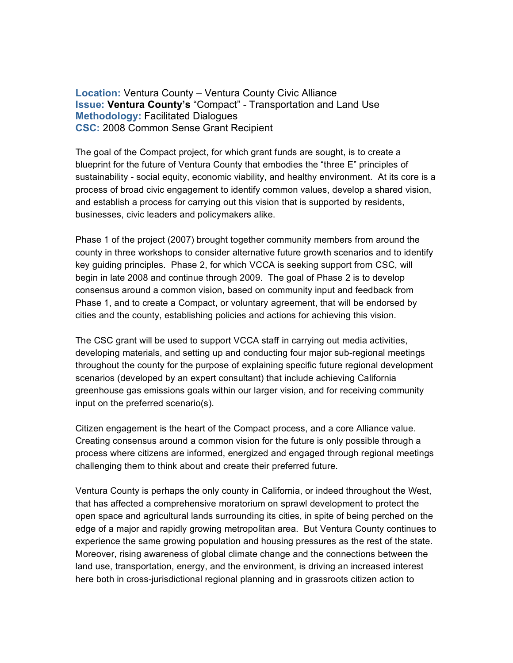**Location:** Ventura County – Ventura County Civic Alliance **Issue: Ventura County's** "Compact" - Transportation and Land Use **Methodology:** Facilitated Dialogues **CSC:** 2008 Common Sense Grant Recipient

The goal of the Compact project, for which grant funds are sought, is to create a blueprint for the future of Ventura County that embodies the "three E" principles of sustainability - social equity, economic viability, and healthy environment. At its core is a process of broad civic engagement to identify common values, develop a shared vision, and establish a process for carrying out this vision that is supported by residents, businesses, civic leaders and policymakers alike.

Phase 1 of the project (2007) brought together community members from around the county in three workshops to consider alternative future growth scenarios and to identify key guiding principles. Phase 2, for which VCCA is seeking support from CSC, will begin in late 2008 and continue through 2009. The goal of Phase 2 is to develop consensus around a common vision, based on community input and feedback from Phase 1, and to create a Compact, or voluntary agreement, that will be endorsed by cities and the county, establishing policies and actions for achieving this vision.

The CSC grant will be used to support VCCA staff in carrying out media activities, developing materials, and setting up and conducting four major sub-regional meetings throughout the county for the purpose of explaining specific future regional development scenarios (developed by an expert consultant) that include achieving California greenhouse gas emissions goals within our larger vision, and for receiving community input on the preferred scenario(s).

Citizen engagement is the heart of the Compact process, and a core Alliance value. Creating consensus around a common vision for the future is only possible through a process where citizens are informed, energized and engaged through regional meetings challenging them to think about and create their preferred future.

Ventura County is perhaps the only county in California, or indeed throughout the West, that has affected a comprehensive moratorium on sprawl development to protect the open space and agricultural lands surrounding its cities, in spite of being perched on the edge of a major and rapidly growing metropolitan area. But Ventura County continues to experience the same growing population and housing pressures as the rest of the state. Moreover, rising awareness of global climate change and the connections between the land use, transportation, energy, and the environment, is driving an increased interest here both in cross-jurisdictional regional planning and in grassroots citizen action to